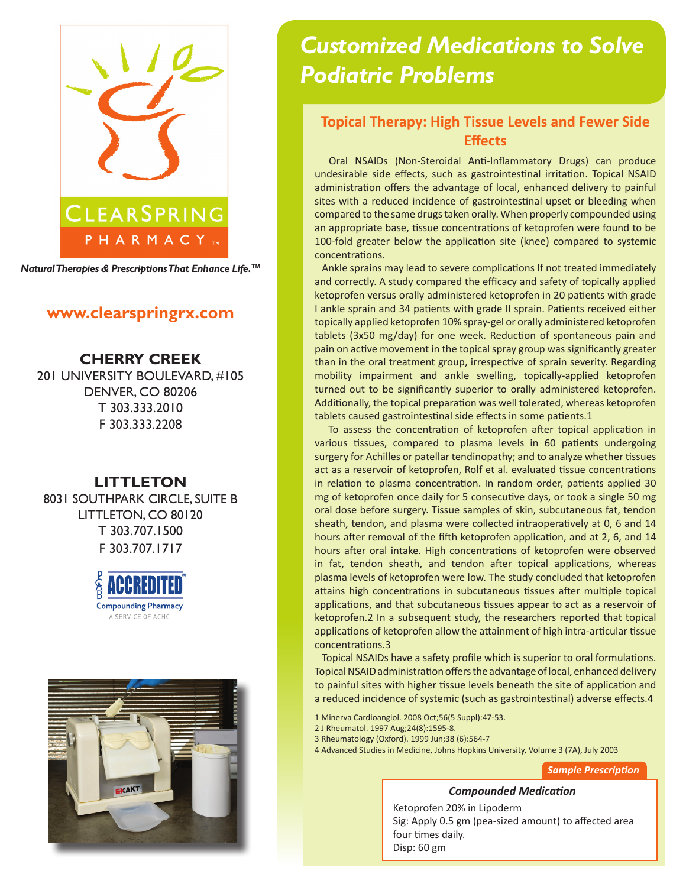

*Natural Therapies & Prescriptions That Enhance Life.***TM**

## **www.clearspringrx.com**

**CHERRY CREEK** 201 UNIVERSITY BOULEVARD, #105 DENVER, CO 80206 T 303.333.2010 F 303.333.2208

## **LITTLETON**

8031 SOUTHPARK CIRCLE, SUITE B LITTLETON, CO 80120 T 303.707.1500 F 303.707.1717





# *Customized Medications to Solve Podiatric Problems*

## **Topical Therapy: High Tissue Levels and Fewer Side Effects**

 Oral NSAIDs (Non-Steroidal Anti-Inflammatory Drugs) can produce undesirable side effects, such as gastrointestinal irritation. Topical NSAID administration offers the advantage of local, enhanced delivery to painful sites with a reduced incidence of gastrointestinal upset or bleeding when compared to the same drugs taken orally. When properly compounded using an appropriate base, tissue concentrations of ketoprofen were found to be 100-fold greater below the application site (knee) compared to systemic concentrations.

 Ankle sprains may lead to severe complications If not treated immediately and correctly. A study compared the efficacy and safety of topically applied ketoprofen versus orally administered ketoprofen in 20 patients with grade I ankle sprain and 34 patients with grade II sprain. Patients received either topically applied ketoprofen 10% spray-gel or orally administered ketoprofen tablets (3x50 mg/day) for one week. Reduction of spontaneous pain and pain on active movement in the topical spray group was significantly greater than in the oral treatment group, irrespective of sprain severity. Regarding mobility impairment and ankle swelling, topically-applied ketoprofen turned out to be significantly superior to orally administered ketoprofen. Additionally, the topical preparation was well tolerated, whereas ketoprofen tablets caused gastrointestinal side effects in some patients.1

 To assess the concentration of ketoprofen after topical application in various tissues, compared to plasma levels in 60 patients undergoing surgery for Achilles or patellar tendinopathy; and to analyze whether tissues act as a reservoir of ketoprofen, Rolf et al. evaluated tissue concentrations in relation to plasma concentration. In random order, patients applied 30 mg of ketoprofen once daily for 5 consecutive days, or took a single 50 mg oral dose before surgery. Tissue samples of skin, subcutaneous fat, tendon sheath, tendon, and plasma were collected intraoperatively at 0, 6 and 14 hours after removal of the fifth ketoprofen application, and at 2, 6, and 14 hours after oral intake. High concentrations of ketoprofen were observed in fat, tendon sheath, and tendon after topical applications, whereas plasma levels of ketoprofen were low. The study concluded that ketoprofen attains high concentrations in subcutaneous tissues after multiple topical applications, and that subcutaneous tissues appear to act as a reservoir of ketoprofen.2 In a subsequent study, the researchers reported that topical applications of ketoprofen allow the attainment of high intra-articular tissue concentrations.3

 Topical NSAIDs have a safety profile which is superior to oral formulations. Topical NSAID administration offers the advantage of local, enhanced delivery to painful sites with higher tissue levels beneath the site of application and a reduced incidence of systemic (such as gastrointestinal) adverse effects.4

1 Minerva Cardioangiol. 2008 Oct;56(5 Suppl):47-53.

- 2 J Rheumatol. 1997 Aug;24(8):1595-8.
- 3 Rheumatology (Oxford). 1999 Jun;38 (6):564-7
- 4 Advanced Studies in Medicine, Johns Hopkins University, Volume 3 (7A), July 2003

*Sample Prescription*

#### *Compounded Medication*

Ketoprofen 20% in Lipoderm Sig: Apply 0.5 gm (pea-sized amount) to affected area four times daily. Disp: 60 gm